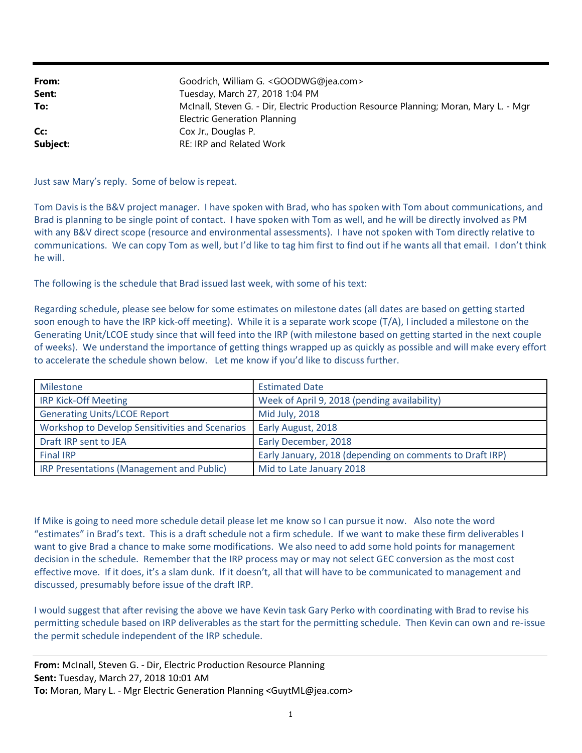| From:<br>Sent: | Goodrich, William G. <goodwg@jea.com><br/>Tuesday, March 27, 2018 1:04 PM</goodwg@jea.com> |
|----------------|--------------------------------------------------------------------------------------------|
| To:            | McInall, Steven G. - Dir, Electric Production Resource Planning; Moran, Mary L. - Mgr      |
| Cc:            | <b>Electric Generation Planning</b><br>Cox Jr., Douglas P.                                 |
| Subject:       | RE: IRP and Related Work                                                                   |

Just saw Mary's reply. Some of below is repeat.

Tom Davis is the B&V project manager. I have spoken with Brad, who has spoken with Tom about communications, and Brad is planning to be single point of contact. I have spoken with Tom as well, and he will be directly involved as PM with any B&V direct scope (resource and environmental assessments). I have not spoken with Tom directly relative to communications. We can copy Tom as well, but I'd like to tag him first to find out if he wants all that email. I don't think he will.

The following is the schedule that Brad issued last week, with some of his text:

Regarding schedule, please see below for some estimates on milestone dates (all dates are based on getting started soon enough to have the IRP kick-off meeting). While it is a separate work scope (T/A), I included a milestone on the Generating Unit/LCOE study since that will feed into the IRP (with milestone based on getting started in the next couple of weeks). We understand the importance of getting things wrapped up as quickly as possible and will make every effort to accelerate the schedule shown below. Let me know if you'd like to discuss further.

| Milestone                                       | <b>Estimated Date</b>                                    |
|-------------------------------------------------|----------------------------------------------------------|
| <b>IRP Kick-Off Meeting</b>                     | Week of April 9, 2018 (pending availability)             |
| <b>Generating Units/LCOE Report</b>             | Mid July, 2018                                           |
| Workshop to Develop Sensitivities and Scenarios | Early August, 2018                                       |
| Draft IRP sent to JEA                           | Early December, 2018                                     |
| <b>Final IRP</b>                                | Early January, 2018 (depending on comments to Draft IRP) |
| IRP Presentations (Management and Public)       | Mid to Late January 2018                                 |

If Mike is going to need more schedule detail please let me know so I can pursue it now. Also note the word "estimates" in Brad's text. This is a draft schedule not a firm schedule. If we want to make these firm deliverables I want to give Brad a chance to make some modifications. We also need to add some hold points for management decision in the schedule. Remember that the IRP process may or may not select GEC conversion as the most cost effective move. If it does, it's a slam dunk. If it doesn't, all that will have to be communicated to management and discussed, presumably before issue of the draft IRP.

I would suggest that after revising the above we have Kevin task Gary Perko with coordinating with Brad to revise his permitting schedule based on IRP deliverables as the start for the permitting schedule. Then Kevin can own and re-issue the permit schedule independent of the IRP schedule.